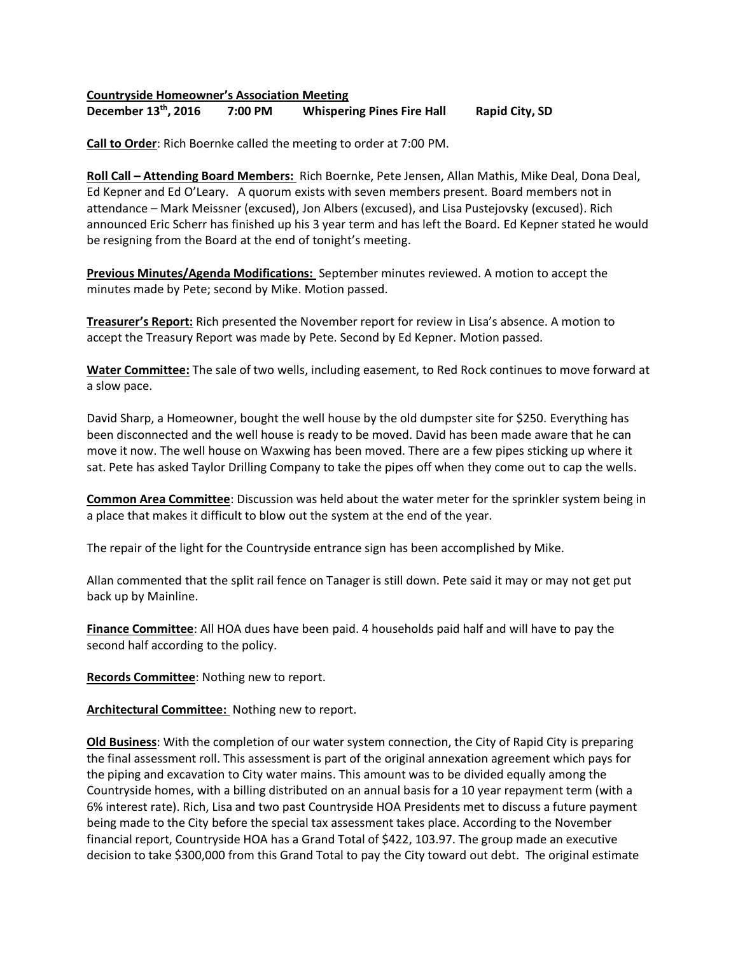## **Countryside Homeowner's Association Meeting**

**December 13th** 7:00 PM Whispering Pines Fire Hall Rapid City, SD

**Call to Order**: Rich Boernke called the meeting to order at 7:00 PM.

**Roll Call – Attending Board Members:** Rich Boernke, Pete Jensen, Allan Mathis, Mike Deal, Dona Deal, Ed Kepner and Ed O'Leary. A quorum exists with seven members present. Board members not in attendance – Mark Meissner (excused), Jon Albers (excused), and Lisa Pustejovsky (excused). Rich announced Eric Scherr has finished up his 3 year term and has left the Board. Ed Kepner stated he would be resigning from the Board at the end of tonight's meeting.

**Previous Minutes/Agenda Modifications:** September minutes reviewed. A motion to accept the minutes made by Pete; second by Mike. Motion passed.

**Treasurer's Report:** Rich presented the November report for review in Lisa's absence. A motion to accept the Treasury Report was made by Pete. Second by Ed Kepner. Motion passed.

**Water Committee:** The sale of two wells, including easement, to Red Rock continues to move forward at a slow pace.

David Sharp, a Homeowner, bought the well house by the old dumpster site for \$250. Everything has been disconnected and the well house is ready to be moved. David has been made aware that he can move it now. The well house on Waxwing has been moved. There are a few pipes sticking up where it sat. Pete has asked Taylor Drilling Company to take the pipes off when they come out to cap the wells.

**Common Area Committee**: Discussion was held about the water meter for the sprinkler system being in a place that makes it difficult to blow out the system at the end of the year.

The repair of the light for the Countryside entrance sign has been accomplished by Mike.

Allan commented that the split rail fence on Tanager is still down. Pete said it may or may not get put back up by Mainline.

**Finance Committee**: All HOA dues have been paid. 4 households paid half and will have to pay the second half according to the policy.

**Records Committee**: Nothing new to report.

**Architectural Committee:** Nothing new to report.

**Old Business**: With the completion of our water system connection, the City of Rapid City is preparing the final assessment roll. This assessment is part of the original annexation agreement which pays for the piping and excavation to City water mains. This amount was to be divided equally among the Countryside homes, with a billing distributed on an annual basis for a 10 year repayment term (with a 6% interest rate). Rich, Lisa and two past Countryside HOA Presidents met to discuss a future payment being made to the City before the special tax assessment takes place. According to the November financial report, Countryside HOA has a Grand Total of \$422, 103.97. The group made an executive decision to take \$300,000 from this Grand Total to pay the City toward out debt. The original estimate